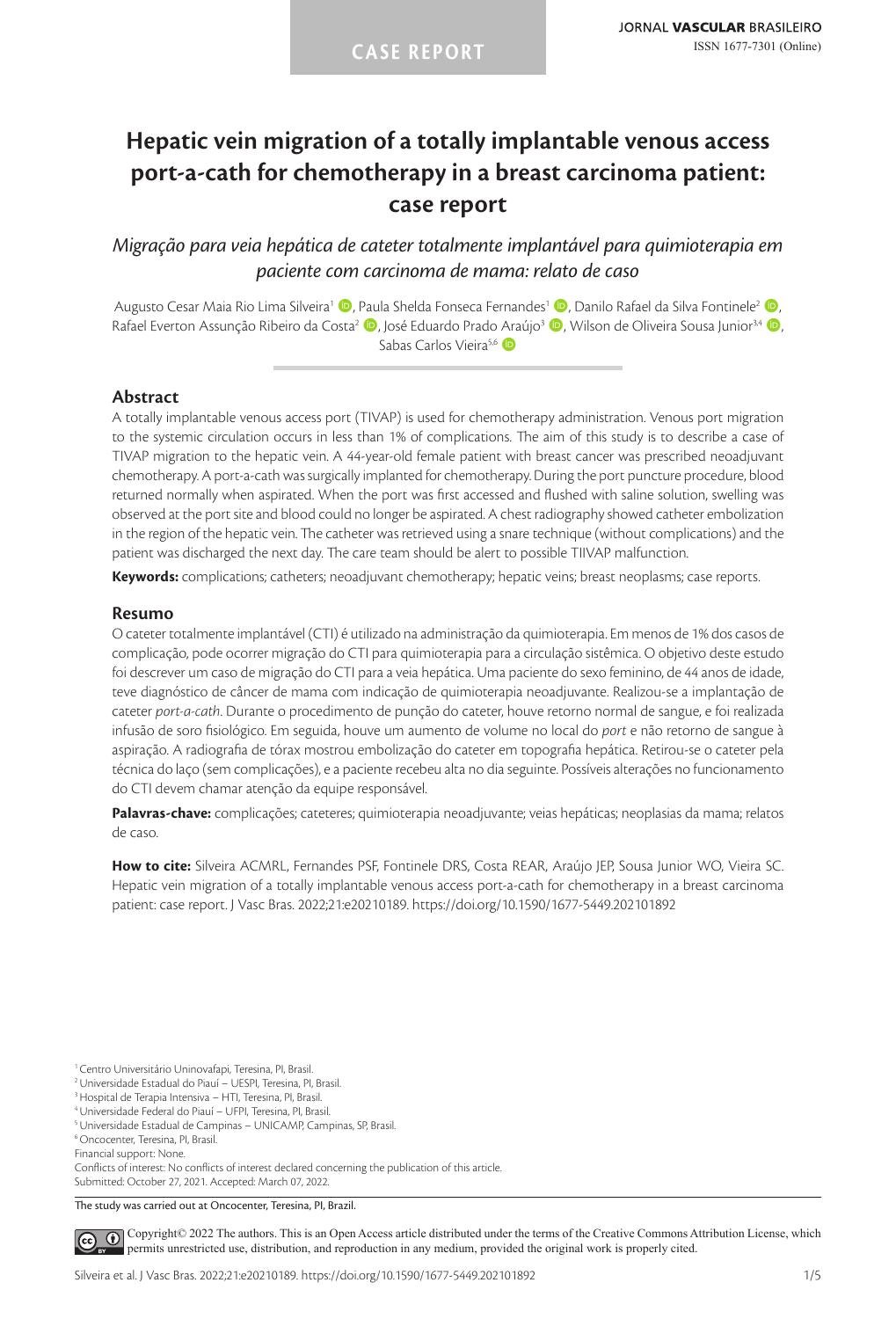# **Hepatic vein migration of a totally implantable venous access port-a-cath for chemotherapy in a breast carcinoma patient: case report**

# *Migração para veia hepática de cateter totalmente implantável para quimioterapia em paciente com carcinoma de mama: relato de caso*

Augusto Cesar Maia Rio Lima Silveira<sup>1</sup> (D. Paula Shelda Fonseca Fernandes<sup>1</sup> (D. Danilo Rafael da Silva Fontinele<sup>2</sup> (D. Rafael Everton Assunção Ribeiro da Costa<sup>2</sup> (D. José Eduardo Prado Araújo<sup>3</sup> (D. Wilson de Oliveira Sousa Junior<sup>34</sup> (D. Sabas Carlos Vieira<sup>5,6</sup>

# **Abstract**

A totally implantable venous access port (TIVAP) is used for chemotherapy administration. Venous port migration to the systemic circulation occurs in less than 1% of complications. The aim of this study is to describe a case of TIVAP migration to the hepatic vein. A 44-year-old female patient with breast cancer was prescribed neoadjuvant chemotherapy. A port-a-cath was surgically implanted for chemotherapy. During the port puncture procedure, blood returned normally when aspirated. When the port was first accessed and flushed with saline solution, swelling was observed at the port site and blood could no longer be aspirated. A chest radiography showed catheter embolization in the region of the hepatic vein. The catheter was retrieved using a snare technique (without complications) and the patient was discharged the next day. The care team should be alert to possible TIIVAP malfunction.

**Keywords:** complications; catheters; neoadjuvant chemotherapy; hepatic veins; breast neoplasms; case reports.

### **Resumo**

O cateter totalmente implantável (CTI) é utilizado na administração da quimioterapia. Em menos de 1% dos casos de complicação, pode ocorrer migração do CTI para quimioterapia para a circulação sistêmica. O objetivo deste estudo foi descrever um caso de migração do CTI para a veia hepática. Uma paciente do sexo feminino, de 44 anos de idade, teve diagnóstico de câncer de mama com indicação de quimioterapia neoadjuvante. Realizou-se a implantação de cateter *port-a-cath*. Durante o procedimento de punção do cateter, houve retorno normal de sangue, e foi realizada infusão de soro fisiológico. Em seguida, houve um aumento de volume no local do *port* e não retorno de sangue à aspiração. A radiografia de tórax mostrou embolização do cateter em topografia hepática. Retirou-se o cateter pela técnica do laço (sem complicações), e a paciente recebeu alta no dia seguinte. Possíveis alterações no funcionamento do CTI devem chamar atenção da equipe responsável.

**Palavras-chave:** complicações; cateteres; quimioterapia neoadjuvante; veias hepáticas; neoplasias da mama; relatos de caso.

**How to cite:** Silveira ACMRL, Fernandes PSF, Fontinele DRS, Costa REAR, Araújo JEP, Sousa Junior WO, Vieira SC. Hepatic vein migration of a totally implantable venous access port-a-cath for chemotherapy in a breast carcinoma patient: case report. J Vasc Bras. 2022;21:e20210189. https://doi.org/10.1590/1677-5449.202101892

Conflicts of interest: No conflicts of interest declared concerning the publication of this article. Submitted: October 27, 2021. Accepted: March 07, 2022.

The study was carried out at Oncocenter, Teresina, PI, Brazil.

[C](https://creativecommons.org/licenses/by/4.0/)opyright© 2022 The authors. This is an Open Access article distributed under the terms of the Creative Commons Attribution License, which  $\odot$ permits unrestricted use, distribution, and reproduction in any medium, provided the original work is properly cited.

<sup>1</sup> Centro Universitário Uninovafapi, Teresina, PI, Brasil.

<sup>2</sup>Universidade Estadual do Piauí – UESPI, Teresina, PI, Brasil.

<sup>3</sup>Hospital de Terapia Intensiva – HTI, Teresina, PI, Brasil.

<sup>4</sup>Universidade Federal do Piauí – UFPI, Teresina, PI, Brasil.

<sup>5</sup>Universidade Estadual de Campinas – UNICAMP, Campinas, SP, Brasil.

<sup>6</sup> Oncocenter, Teresina, PI, Brasil.

Financial support: None.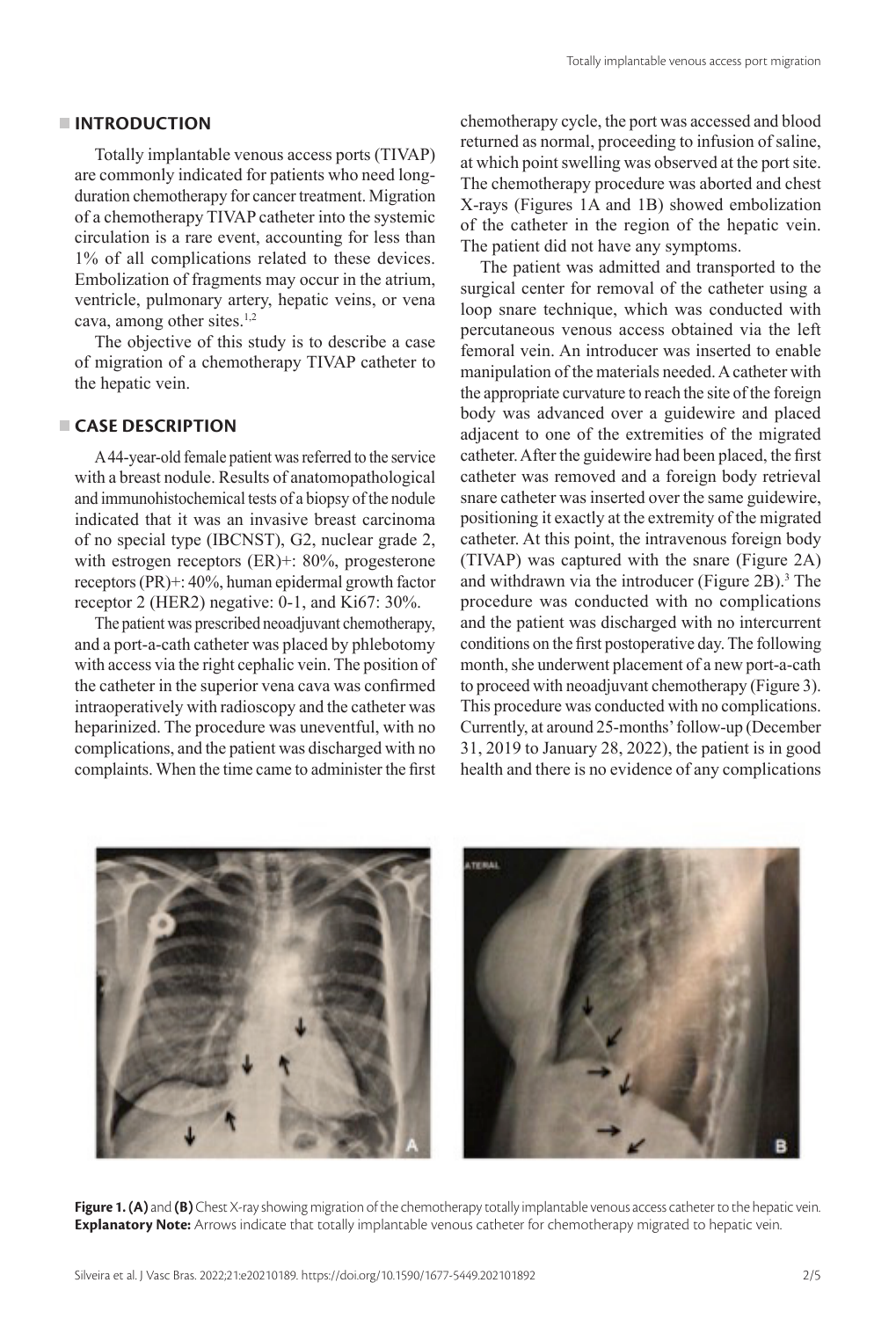### **INTRODUCTION**

Totally implantable venous access ports (TIVAP) are commonly indicated for patients who need longduration chemotherapy for cancer treatment. Migration of a chemotherapy TIVAP catheter into the systemic circulation is a rare event, accounting for less than 1% of all complications related to these devices. Embolization of fragments may occur in the atrium, ventricle, pulmonary artery, hepatic veins, or vena cava, among other sites. $1,2$ 

The objective of this study is to describe a case of migration of a chemotherapy TIVAP catheter to the hepatic vein.

### **CASE DESCRIPTION**

A 44-year-old female patient was referred to the service with a breast nodule. Results of anatomopathological and immunohistochemical tests of a biopsy of the nodule indicated that it was an invasive breast carcinoma of no special type (IBCNST), G2, nuclear grade 2, with estrogen receptors (ER)+: 80%, progesterone receptors (PR)+: 40%, human epidermal growth factor receptor 2 (HER2) negative: 0-1, and Ki67: 30%.

The patient was prescribed neoadjuvant chemotherapy, and a port-a-cath catheter was placed by phlebotomy with access via the right cephalic vein. The position of the catheter in the superior vena cava was confirmed intraoperatively with radioscopy and the catheter was heparinized. The procedure was uneventful, with no complications, and the patient was discharged with no complaints. When the time came to administer the first

chemotherapy cycle, the port was accessed and blood returned as normal, proceeding to infusion of saline, at which point swelling was observed at the port site. The chemotherapy procedure was aborted and chest X-rays (Figures 1A and 1B) showed embolization of the catheter in the region of the hepatic vein. The patient did not have any symptoms.

The patient was admitted and transported to the surgical center for removal of the catheter using a loop snare technique, which was conducted with percutaneous venous access obtained via the left femoral vein. An introducer was inserted to enable manipulation of the materials needed. A catheter with the appropriate curvature to reach the site of the foreign body was advanced over a guidewire and placed adjacent to one of the extremities of the migrated catheter. After the guidewire had been placed, the first catheter was removed and a foreign body retrieval snare catheter was inserted over the same guidewire, positioning it exactly at the extremity of the migrated catheter. At this point, the intravenous foreign body (TIVAP) was captured with the snare (Figure 2A) and withdrawn via the introducer (Figure  $2B$ ).<sup>3</sup> The procedure was conducted with no complications and the patient was discharged with no intercurrent conditions on the first postoperative day. The following month, she underwent placement of a new port-a-cath to proceed with neoadjuvant chemotherapy (Figure 3). This procedure was conducted with no complications. Currently, at around 25-months' follow-up (December 31, 2019 to January 28, 2022), the patient is in good health and there is no evidence of any complications



**Figure 1. (A)** and **(B)** Chest X-ray showing migration of the chemotherapy totally implantable venous access catheter to the hepatic vein. **Explanatory Note:** Arrows indicate that totally implantable venous catheter for chemotherapy migrated to hepatic vein.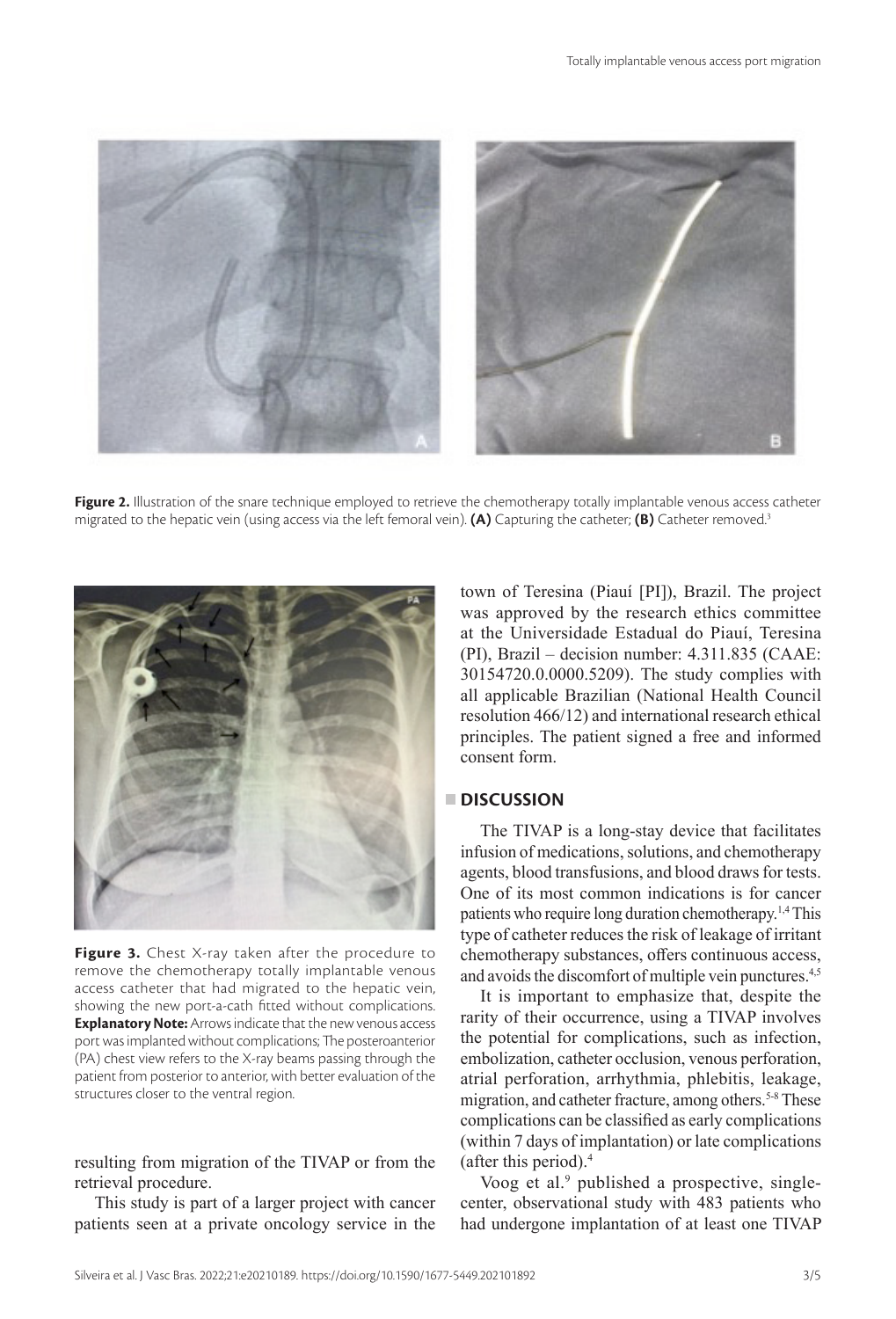

**Figure 2.** Illustration of the snare technique employed to retrieve the chemotherapy totally implantable venous access catheter migrated to the hepatic vein (using access via the left femoral vein). **(A)** Capturing the catheter; **(B)** Catheter removed.3



**Figure 3.** Chest X-ray taken after the procedure to remove the chemotherapy totally implantable venous access catheter that had migrated to the hepatic vein, showing the new port-a-cath fitted without complications. **Explanatory Note:** Arrows indicate that the new venous access port was implanted without complications; The posteroanterior (PA) chest view refers to the X-ray beams passing through the patient from posterior to anterior, with better evaluation of the structures closer to the ventral region.

resulting from migration of the TIVAP or from the retrieval procedure.

This study is part of a larger project with cancer patients seen at a private oncology service in the town of Teresina (Piauí [PI]), Brazil. The project was approved by the research ethics committee at the Universidade Estadual do Piauí, Teresina (PI), Brazil – decision number: 4.311.835 (CAAE: 30154720.0.0000.5209). The study complies with all applicable Brazilian (National Health Council resolution 466/12) and international research ethical principles. The patient signed a free and informed consent form.

# **DISCUSSION**

The TIVAP is a long-stay device that facilitates infusion of medications, solutions, and chemotherapy agents, blood transfusions, and blood draws for tests. One of its most common indications is for cancer patients who require long duration chemotherapy.1,4 This type of catheter reduces the risk of leakage of irritant chemotherapy substances, offers continuous access, and avoids the discomfort of multiple vein punctures.<sup>4,5</sup>

It is important to emphasize that, despite the rarity of their occurrence, using a TIVAP involves the potential for complications, such as infection, embolization, catheter occlusion, venous perforation, atrial perforation, arrhythmia, phlebitis, leakage, migration, and catheter fracture, among others.<sup>5-8</sup> These complications can be classified as early complications (within 7 days of implantation) or late complications (after this period).4

Voog et al.<sup>9</sup> published a prospective, singlecenter, observational study with 483 patients who had undergone implantation of at least one TIVAP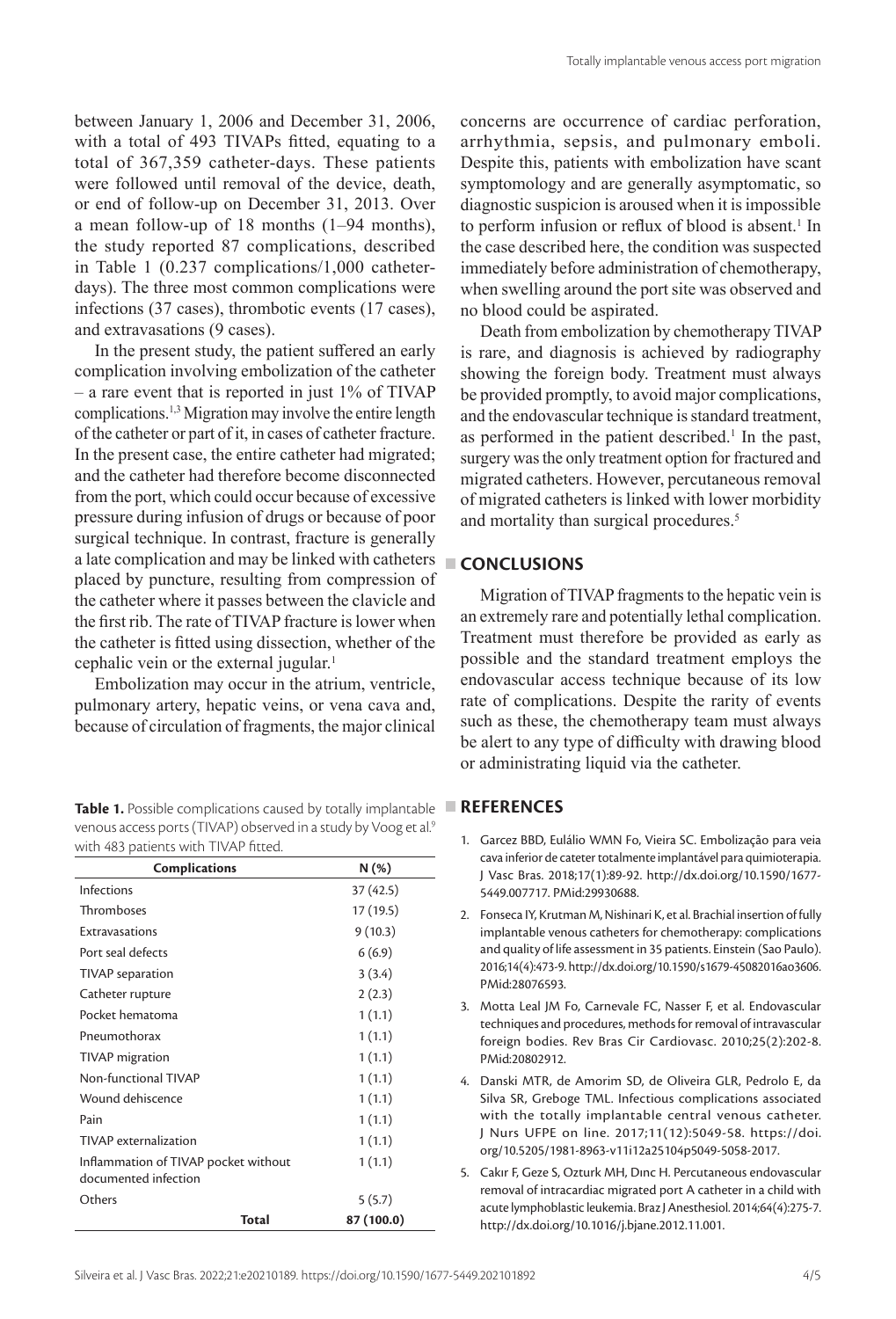between January 1, 2006 and December 31, 2006, with a total of 493 TIVAPs fitted, equating to a total of 367,359 catheter-days. These patients were followed until removal of the device, death, or end of follow-up on December 31, 2013. Over a mean follow-up of 18 months (1–94 months), the study reported 87 complications, described in Table 1 (0.237 complications/1,000 catheterdays). The three most common complications were infections (37 cases), thrombotic events (17 cases), and extravasations (9 cases).

In the present study, the patient suffered an early complication involving embolization of the catheter – a rare event that is reported in just 1% of TIVAP complications.1,3 Migration may involve the entire length of the catheter or part of it, in cases of catheter fracture. In the present case, the entire catheter had migrated; and the catheter had therefore become disconnected from the port, which could occur because of excessive pressure during infusion of drugs or because of poor surgical technique. In contrast, fracture is generally a late complication and may be linked with catheters placed by puncture, resulting from compression of the catheter where it passes between the clavicle and the first rib. The rate of TIVAP fracture is lower when the catheter is fitted using dissection, whether of the cephalic vein or the external jugular.<sup>1</sup>

Embolization may occur in the atrium, ventricle, pulmonary artery, hepatic veins, or vena cava and, because of circulation of fragments, the major clinical

| Table 1. Possible complications caused by totally implantable               |
|-----------------------------------------------------------------------------|
| venous access ports (TIVAP) observed in a study by Voog et al. <sup>9</sup> |
| with 483 patients with TIVAP fitted.                                        |

| <b>Complications</b>                                         |       | N(%)       |
|--------------------------------------------------------------|-------|------------|
| Infections                                                   |       | 37 (42.5)  |
| Thromboses                                                   |       | 17 (19.5)  |
| Extravasations                                               |       | 9(10.3)    |
| Port seal defects                                            |       | 6(6.9)     |
| TIVAP separation                                             |       | 3(3.4)     |
| Catheter rupture                                             |       | 2(2.3)     |
| Pocket hematoma                                              |       | 1(1.1)     |
| Pneumothorax                                                 |       | 1(1.1)     |
| TIVAP migration                                              |       | 1(1.1)     |
| Non-functional TIVAP                                         |       | 1(1.1)     |
| Wound dehiscence                                             |       | 1(1.1)     |
| Pain                                                         |       | 1(1.1)     |
| TIVAP externalization                                        |       | 1(1.1)     |
| Inflammation of TIVAP pocket without<br>documented infection |       | 1(1.1)     |
| Others                                                       |       | 5(5.7)     |
|                                                              | Total | 87 (100.0) |

concerns are occurrence of cardiac perforation, arrhythmia, sepsis, and pulmonary emboli. Despite this, patients with embolization have scant symptomology and are generally asymptomatic, so diagnostic suspicion is aroused when it is impossible to perform infusion or reflux of blood is absent.<sup>1</sup> In the case described here, the condition was suspected immediately before administration of chemotherapy, when swelling around the port site was observed and no blood could be aspirated.

Death from embolization by chemotherapy TIVAP is rare, and diagnosis is achieved by radiography showing the foreign body. Treatment must always be provided promptly, to avoid major complications, and the endovascular technique is standard treatment, as performed in the patient described.<sup>1</sup> In the past, surgery was the only treatment option for fractured and migrated catheters. However, percutaneous removal of migrated catheters is linked with lower morbidity and mortality than surgical procedures.<sup>5</sup>

# **CONCLUSIONS**

Migration of TIVAP fragments to the hepatic vein is an extremely rare and potentially lethal complication. Treatment must therefore be provided as early as possible and the standard treatment employs the endovascular access technique because of its low rate of complications. Despite the rarity of events such as these, the chemotherapy team must always be alert to any type of difficulty with drawing blood or administrating liquid via the catheter.

# **REFERENCES**

- 1. Garcez BBD, Eulálio WMN Fo, Vieira SC. Embolização para veia cava inferior de cateter totalmente implantável para quimioterapia. J Vasc Bras. 2018;17(1):89-92. [http://dx.doi.org/10.1590/1677-](https://doi.org/10.1590/1677-5449.007717) [5449.007717](https://doi.org/10.1590/1677-5449.007717)[. PMid:29930688.](https://www.ncbi.nlm.nih.gov/entrez/query.fcgi?cmd=Retrieve&db=PubMed&list_uids=29930688&dopt=Abstract)
- 2. Fonseca IY, Krutman M, Nishinari K, et al. Brachial insertion of fully implantable venous catheters for chemotherapy: complications and quality of life assessment in 35 patients. Einstein (Sao Paulo). 2016;14(4):473-9. [http://dx.doi.org/10.1590/s1679-45082016ao3606](https://doi.org/10.1590/s1679-45082016ao3606). [PMid:28076593.](https://www.ncbi.nlm.nih.gov/entrez/query.fcgi?cmd=Retrieve&db=PubMed&list_uids=28076593&dopt=Abstract)
- 3. Motta Leal JM Fo, Carnevale FC, Nasser F, et al. Endovascular techniques and procedures, methods for removal of intravascular foreign bodies. Rev Bras Cir Cardiovasc. 2010;25(2):202-8. [PMid:20802912.](https://www.ncbi.nlm.nih.gov/entrez/query.fcgi?cmd=Retrieve&db=PubMed&list_uids=20802912&dopt=Abstract)
- 4. Danski MTR, de Amorim SD, de Oliveira GLR, Pedrolo E, da Silva SR, Greboge TML. Infectious complications associated with the totally implantable central venous catheter. J Nurs UFPE on line. 2017;11(12):5049-58. https://doi. org/10.5205/1981-8963-v11i12a25104p5049-5058-2017.
- 5. Cakır F, Geze S, Ozturk MH, Dınc H. Percutaneous endovascular removal of intracardiac migrated port A catheter in a child with acute lymphoblastic leukemia. Braz J Anesthesiol. 2014;64(4):275-7. [http://dx.doi.org/10.1016/j.bjane.2012.11.001](https://doi.org/10.1016/j.bjane.2012.11.001).